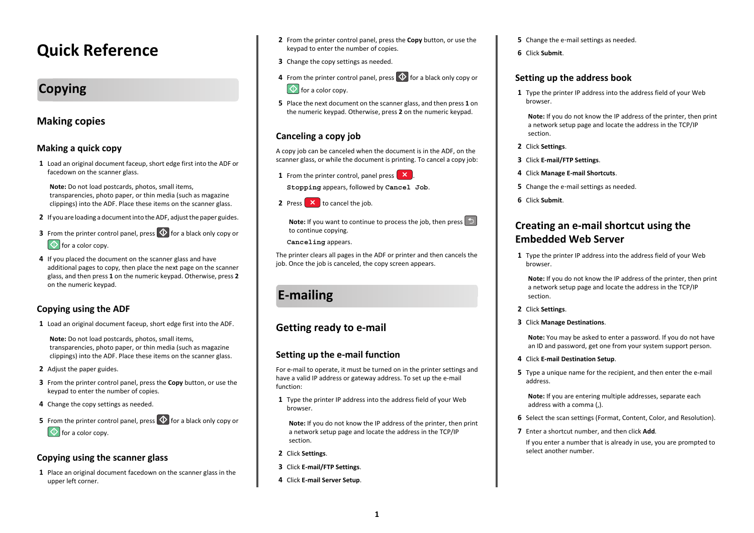# **Quick Reference**

## **Copying**

## **Making copies**

#### **Making a quick copy**

**1** Load an original document faceup, short edge first into the ADF or facedown on the scanner glass.

**Note:** Do not load postcards, photos, small items, transparencies, photo paper, or thin media (such as magazine clippings) into the ADF. Place these items on the scanner glass.

- **2** If you are loading a document into the ADF, adjust the paper guides.
- **3** From the printer control panel, press  $\heartsuit$  for a black only copy or  $\bigcirc$  for a color copy.
- **4** If you placed the document on the scanner glass and have additional pages to copy, then place the next page on the scanner glass, and then press **1** on the numeric keypad. Otherwise, press **2** on the numeric keypad.

#### **Copying using the ADF**

**1** Load an original document faceup, short edge first into the ADF.

**Note:** Do not load postcards, photos, small items, transparencies, photo paper, or thin media (such as magazine clippings) into the ADF. Place these items on the scanner glass.

- **2** Adjust the paper guides.
- **3** From the printer control panel, press the **Copy** button, or use the keypad to enter the number of copies.
- **4** Change the copy settings as needed.
- **5** From the printer control panel, press  $\heartsuit$  for a black only copy or  $\Phi$  for a color copy.

#### **Copying using the scanner glass**

**1** Place an original document facedown on the scanner glass in the upper left corner.

- **2** From the printer control panel, press the **Copy** button, or use the keypad to enter the number of copies.
- **3** Change the copy settings as needed.
- **4** From the printer control panel, press  $\heartsuit$  for a black only copy or  $\Diamond$  for a color copy.
- **5** Place the next document on the scanner glass, and then press **1** on the numeric keypad. Otherwise, press **2** on the numeric keypad.

## **Canceling a copy job**

A copy job can be canceled when the document is in the ADF, on the scanner glass, or while the document is printing. To cancel a copy job:

**1** From the printer control, panel press  $\mathbf{X}$ .

**Stopping** appears, followed by **Cancel Job**.

**2** Press **X** to cancel the job.

**Note:** If you want to continue to process the iob, then press  $\Box$ to continue copying.

**Canceling** appears.

The printer clears all pages in the ADF or printer and then cancels the job. Once the job is canceled, the copy screen appears.

# **E-mailing**

## **Getting ready to e-mail**

#### **Setting up the e-mail function**

For e-mail to operate, it must be turned on in the printer settings and have a valid IP address or gateway address. To set up the e-mail function:

**1** Type the printer IP address into the address field of your Web browser.

**Note:** If you do not know the IP address of the printer, then print a network setup page and locate the address in the TCP/IP section.

- **2** Click **Settings**.
- **3** Click **E-mail/FTP Settings**.
- **4** Click **E-mail Server Setup**.
- **5** Change the e‑mail settings as needed.
- **6** Click **Submit**.

#### **Setting up the address book**

**1** Type the printer IP address into the address field of your Web browser.

**Note:** If you do not know the IP address of the printer, then print a network setup page and locate the address in the TCP/IP section.

- **2** Click **Settings**.
- **3** Click **E-mail/FTP Settings**.
- **4** Click **Manage E-mail Shortcuts**.
- **5** Change the e‑mail settings as needed.
- **6** Click **Submit**.

## **Creating an e-mail shortcut using the Embedded Web Server**

**1** Type the printer IP address into the address field of your Web browser.

**Note:** If you do not know the IP address of the printer, then print a network setup page and locate the address in the TCP/IP section.

- **2** Click **Settings**.
- **3** Click **Manage Destinations**.

**Note:** You may be asked to enter a password. If you do not have an ID and password, get one from your system support person.

- **4** Click **E-mail Destination Setup**.
- **5** Type a unique name for the recipient, and then enter the e-mail address.

**Note:** If you are entering multiple addresses, separate each address with a comma (,).

- **6** Select the scan settings (Format, Content, Color, and Resolution).
- **7** Enter a shortcut number, and then click **Add**.
- If you enter a number that is already in use, you are prompted to select another number.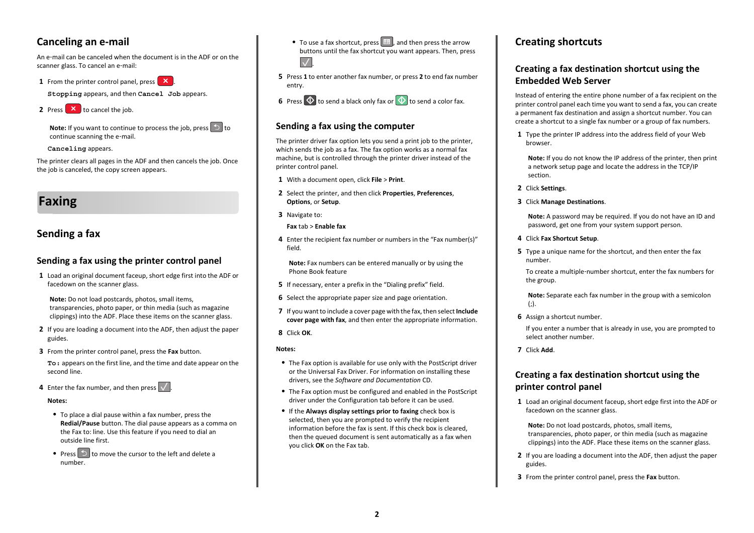## **Canceling an e-mail**

An e‑mail can be canceled when the document is in the ADF or on thescanner glass. To cancel an e-mail:

**1** From the printer control panel, press  $\mathbf{X}$ .

**Stopping** appears, and then **Cancel Job** appears.



**Note:** If you want to continue to process the iob, press **the inter**continue scanning the e‑mail.

#### **Canceling** appears.

The printer clears all pages in the ADF and then cancels the job. Once the job is canceled, the copy screen appears.

## **Faxing**

### **Sending a fax**

#### **Sending a fax using the printer control panel**

**1** Load an original document faceup, short edge first into the ADF or facedown on the scanner glass.

**Note:** Do not load postcards, photos, small items, transparencies, photo paper, or thin media (such as magazine clippings) into the ADF. Place these items on the scanner glass.

- **2** If you are loading a document into the ADF, then adjust the paper guides.
- **3** From the printer control panel, press the **Fax** button.

**To:** appears on the first line, and the time and date appear on the second line.

**4** Enter the fax number, and then press  $\sqrt{ }$  .

#### **Notes:**

- **•** To place a dial pause within a fax number, press the **Redial/Pause** button. The dial pause appears as a comma on the Fax to: line. Use this feature if you need to dial an outside line first.
- Press  $\Box$  to move the cursor to the left and delete a number.
- To use a fax shortcut, press  $\lfloor \blacksquare \rfloor$ , and then press the arrow buttons until the fax shortcut you want appears. Then, press  $\overline{\mathcal{A}}$
- **5** Press **1** to enter another fax number, or press **2** to end fax number entry.



#### **Sending a fax using the computer**

The printer driver fax option lets you send a print job to the printer, which sends the job as a fax. The fax option works as a normal fax machine, but is controlled through the printer driver instead of the printer control panel.

- **1** With a document open, click **File** <sup>&</sup>gt;**Print**.
- **2** Select the printer, and then click **Properties**, **Preferences**, **Options**, or **Setup**.
- **3** Navigate to:

#### **Fax** tab > **Enable fax**

**4** Enter the recipient fax number or numbers in the "Fax number(s)" field.

**Note:** Fax numbers can be entered manually or by using the Phone Book feature

- **5** If necessary, enter a prefix in the "Dialing prefix" field.
- **6** Select the appropriate paper size and page orientation.
- **7** If you want to include a cover page with the fax, then select **Include cover page with fax**, and then enter the appropriate information.

#### **8** Click **OK**.

#### **Notes:**

- **•** The Fax option is available for use only with the PostScript driver or the Universal Fax Driver. For information on installing these drivers, see the *Software and Documentation* CD.
- **•** The Fax option must be configured and enabled in the PostScript driver under the Configuration tab before it can be used.
- **•** If the **Always display settings prior to faxing** check box is selected, then you are prompted to verify the recipient information before the fax is sent. If this check box is cleared, then the queued document is sent automatically as a fax when you click **OK** on the Fax tab.

### **Creating shortcuts**

#### **Creating a fax destination shortcut using the Embedded Web Server**

Instead of entering the entire phone number of a fax recipient on the printer control panel each time you want to send a fax, you can create a permanent fax destination and assign a shortcut number. You can create a shortcut to a single fax number or a group of fax numbers.

**1** Type the printer IP address into the address field of your Web browser.

**Note:** If you do not know the IP address of the printer, then print a network setup page and locate the address in the TCP/IP section.

- **2** Click **Settings**.
- **3** Click **Manage Destinations**.

**Note:** A password may be required. If you do not have an ID and password, get one from your system support person.

- **4** Click **Fax Shortcut Setup**.
- **5** Type a unique name for the shortcut, and then enter the fax number.

To create a multiple‑number shortcut, enter the fax numbers for the group.

**Note:** Separate each fax number in the group with a semicolon  $(:).$ 

**6** Assign a shortcut number.

If you enter a number that is already in use, you are prompted to select another number.

**7** Click **Add**.

#### **Creating a fax destination shortcut using the printer control panel**

**1** Load an original document faceup, short edge first into the ADF or facedown on the scanner glass.

**Note:** Do not load postcards, photos, small items, transparencies, photo paper, or thin media (such as magazine clippings) into the ADF. Place these items on the scanner glass.

- **2** If you are loading a document into the ADF, then adjust the paper guides.
- **3** From the printer control panel, press the **Fax** button.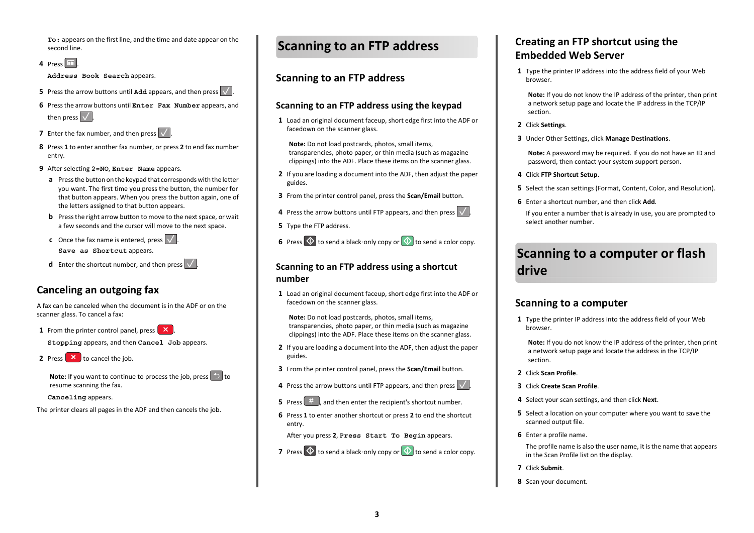**To:** appears on the first line, and the time and date appear on the second line.

**4** Press  $\boxed{11}$ .

**Address Book Search** appears.

- **5** Press the arrow buttons until **Add** appears, and then press  $\vert \vee \vert$ .
- **6** Press the arrow buttons until **Enter Fax Number** appears, and then press  $\sqrt{\phantom{a}}$
- **7** Enter the fax number, and then press  $\vert \vee \vert$ .
- **8** Press **1** to enter another fax number, or press **2** to end fax number entry.
- **9** After selecting **2=NO**, **Enter Name** appears.
- **a** Press the button on the keypad that corresponds with the letter you want. The first time you press the button, the number for that button appears. When you press the button again, one of the letters assigned to that button appears.
- **b** Press the right arrow button to move to the next space, or wait a few seconds and the cursor will move to the next space.
- **c** Once the fax name is entered, press  $\sqrt{ }$ . **Save as Shortcut** appears.
- **d** Enter the shortcut number, and then press  $\sqrt{\phantom{a}}$ .

## **Canceling an outgoing fax**

A fax can be canceled when the document is in the ADF or on thescanner glass. To cancel a fax:

**1** From the printer control panel, press  $\mathbf{X}$ .

**Stopping** appears, and then **Cancel Job** appears.

**2** Press  $\mathbf{X}$  to cancel the job.

**Note:** If you want to continue to process the job, press  $\Box$  to resume scanning the fax.

**Canceling** appears.

The printer clears all pages in the ADF and then cancels the job.

## **Scanning to an FTP address**

## **Scanning to an FTP address**

#### **Scanning to an FTP address using the keypad**

**1** Load an original document faceup, short edge first into the ADF or facedown on the scanner glass.

**Note:** Do not load postcards, photos, small items, transparencies, photo paper, or thin media (such as magazine clippings) into the ADF. Place these items on the scanner glass.

- **2** If you are loading a document into the ADF, then adjust the paper guides.
- **3** From the printer control panel, press the **Scan/Email** button.
- **4** Press the arrow buttons until FTP appears, and then press  $\vert \vee \vert$ .
- **5** Type the FTP address.

**6** Press  $\heartsuit$  to send a black-only copy or  $\heartsuit$  to send a color copy.

#### **Scanning to an FTP address using a shortcut number**

**1** Load an original document faceup, short edge first into the ADF or facedown on the scanner glass.

**Note:** Do not load postcards, photos, small items, transparencies, photo paper, or thin media (such as magazine clippings) into the ADF. Place these items on the scanner glass.

- **2** If you are loading a document into the ADF, then adjust the paper guides.
- **3** From the printer control panel, press the **Scan/Email** button.
- **4** Press the arrow buttons until FTP appears, and then press  $\vert \vee \vert$ .
- **5** Press  $\left( \begin{array}{cc} \# & \end{array} \right)$  and then enter the recipient's shortcut number.
- **6** Press **1** to enter another shortcut or press **2** to end the shortcut entry.

After you press **2**, **Press Start To Begin** appears.

**7** Press  $\mathbb{Q}$  to send a black-only copy or  $\mathbb{Q}$  to send a color copy.

## **Creating an FTP shortcut using the Embedded Web Server**

**1** Type the printer IP address into the address field of your Web browser.

**Note:** If you do not know the IP address of the printer, then print a network setup page and locate the IP address in the TCP/IP section.

- **2** Click **Settings**.
- **3** Under Other Settings, click **Manage Destinations**.

**Note:** A password may be required. If you do not have an ID and password, then contact your system support person.

- **4** Click **FTP Shortcut Setup**.
- **5** Select the scan settings (Format, Content, Color, and Resolution).
- **6** Enter a shortcut number, and then click **Add**.

If you enter a number that is already in use, you are prompted to select another number.

# **Scanning to a computer or flash drive**

### **Scanning to a computer**

**1** Type the printer IP address into the address field of your Web browser.

**Note:** If you do not know the IP address of the printer, then print a network setup page and locate the address in the TCP/IP section.

- **2** Click **Scan Profile**.
- **3** Click **Create Scan Profile**.
- **4** Select your scan settings, and then click **Next**.
- **5** Select a location on your computer where you want to save the scanned output file.
- **6** Enter a profile name.

The profile name is also the user name, it is the name that appears in the Scan Profile list on the display.

- **7** Click **Submit**.
- **8** Scan your document.